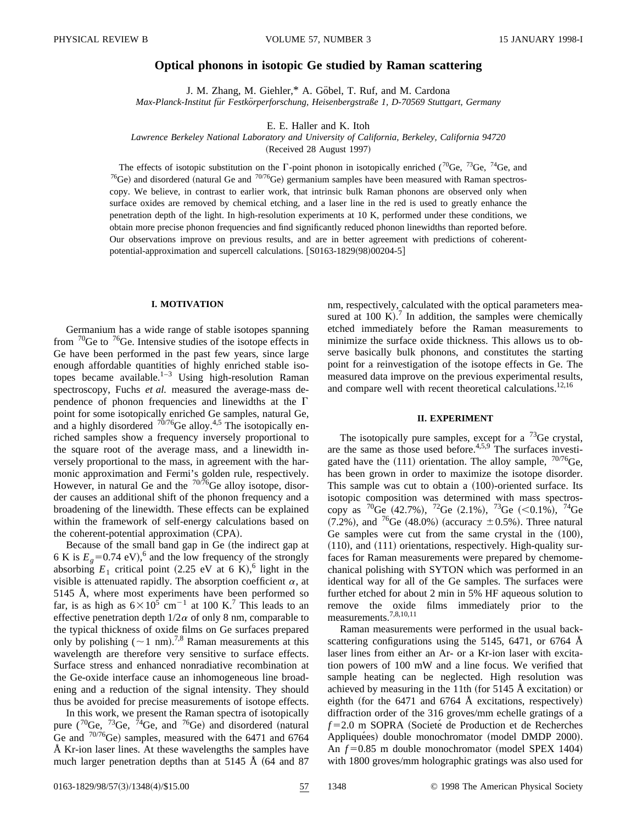# **Optical phonons in isotopic Ge studied by Raman scattering**

J. M. Zhang, M. Giehler,\* A. Göbel, T. Ruf, and M. Cardona *Max-Planck-Institut fu¨r Festko¨rperforschung, Heisenbergstraße 1, D-70569 Stuttgart, Germany*

E. E. Haller and K. Itoh

*Lawrence Berkeley National Laboratory and University of California, Berkeley, California 94720*

(Received 28 August 1997)

The effects of isotopic substitution on the  $\Gamma$ -point phonon in isotopically enriched ( $\rm^{70}Ge$ ,  $\rm^{73}Ge$ ,  $\rm^{74}Ge$ , and <sup>76</sup>Ge) and disordered (natural Ge and <sup>70/76</sup>Ge) germanium samples have been measured with Raman spectroscopy. We believe, in contrast to earlier work, that intrinsic bulk Raman phonons are observed only when surface oxides are removed by chemical etching, and a laser line in the red is used to greatly enhance the penetration depth of the light. In high-resolution experiments at 10 K, performed under these conditions, we obtain more precise phonon frequencies and find significantly reduced phonon linewidths than reported before. Our observations improve on previous results, and are in better agreement with predictions of coherentpotential-approximation and supercell calculations. [S0163-1829(98)00204-5]

### **I. MOTIVATION**

Germanium has a wide range of stable isotopes spanning from  $^{70}$ Ge to  $^{76}$ Ge. Intensive studies of the isotope effects in Ge have been performed in the past few years, since large enough affordable quantities of highly enriched stable isotopes became available.<sup>1–3</sup> Using high-resolution Raman spectroscopy, Fuchs *et al.* measured the average-mass dependence of phonon frequencies and linewidths at the  $\Gamma$ point for some isotopically enriched Ge samples, natural Ge, and a highly disordered  $70/76$ Ge alloy.<sup>4,5</sup> The isotopically enriched samples show a frequency inversely proportional to the square root of the average mass, and a linewidth inversely proportional to the mass, in agreement with the harmonic approximation and Fermi's golden rule, respectively. However, in natural Ge and the  $\frac{70}{76}$ Ge alloy isotope, disorder causes an additional shift of the phonon frequency and a broadening of the linewidth. These effects can be explained within the framework of self-energy calculations based on the coherent-potential approximation  $(CPA)$ .

Because of the small band gap in Ge (the indirect gap at 6 K is  $E<sub>g</sub>$  = 0.74 eV),<sup>6</sup> and the low frequency of the strongly absorbing  $E_1$  critical point (2.25 eV at 6 K), <sup>6</sup> light in the visible is attenuated rapidly. The absorption coefficient  $\alpha$ , at 5145 Å, where most experiments have been performed so far, is as high as  $6\times10^5$  cm<sup>-1</sup> at 100 K.<sup>7</sup> This leads to an effective penetration depth  $1/2\alpha$  of only 8 nm, comparable to the typical thickness of oxide films on Ge surfaces prepared only by polishing  $({\sim}1 \text{ nm})^{7,8}$  Raman measurements at this wavelength are therefore very sensitive to surface effects. Surface stress and enhanced nonradiative recombination at the Ge-oxide interface cause an inhomogeneous line broadening and a reduction of the signal intensity. They should thus be avoided for precise measurements of isotope effects.

In this work, we present the Raman spectra of isotopically pure  $(^{70}Ge, ~^{73}Ge, ~^{74}Ge,$  and  $^{76}Ge$  and disordered (natural Ge and  $70/76$ Ge) samples, measured with the 6471 and 6764 Å Kr-ion laser lines. At these wavelengths the samples have much larger penetration depths than at 5145 Å  $(64$  and 87 nm, respectively, calculated with the optical parameters measured at 100 K).<sup>7</sup> In addition, the samples were chemically etched immediately before the Raman measurements to minimize the surface oxide thickness. This allows us to observe basically bulk phonons, and constitutes the starting point for a reinvestigation of the isotope effects in Ge. The measured data improve on the previous experimental results, and compare well with recent theoretical calculations.<sup>12,16</sup>

# **II. EXPERIMENT**

The isotopically pure samples, except for a  $^{73}$ Ge crystal, are the same as those used before. $4,5,9$  The surfaces investigated have the  $(111)$  orientation. The alloy sample,  $70/76$ Ge, has been grown in order to maximize the isotope disorder. This sample was cut to obtain a  $(100)$ -oriented surface. Its isotopic composition was determined with mass spectroscopy as  ${}^{70}$ Ge (42.7%),  ${}^{72}$ Ge (2.1%),  ${}^{73}$ Ge (<0.1%),  ${}^{74}$ Ge  $(7.2\%)$ , and <sup>76</sup>Ge  $(48.0\%)$  (accuracy  $\pm 0.5\%$ ). Three natural Ge samples were cut from the same crystal in the  $(100)$ ,  $(110)$ , and  $(111)$  orientations, respectively. High-quality surfaces for Raman measurements were prepared by chemomechanical polishing with SYTON which was performed in an identical way for all of the Ge samples. The surfaces were further etched for about 2 min in 5% HF aqueous solution to remove the oxide films immediately prior to the measurements.7,8,10,11

Raman measurements were performed in the usual backscattering configurations using the 5145, 6471, or 6764 Å laser lines from either an Ar- or a Kr-ion laser with excitation powers of 100 mW and a line focus. We verified that sample heating can be neglected. High resolution was achieved by measuring in the 11th (for  $5145 \text{ Å}$  excitation) or eighth (for the 6471 and 6764 Å excitations, respectively) diffraction order of the 316 groves/mm echelle gratings of a  $f=2.0$  m SOPRA (Societé de Production et de Recherches Appliquées) double monochromator (model DMDP 2000). An  $f=0.85$  m double monochromator (model SPEX 1404) with 1800 groves/mm holographic gratings was also used for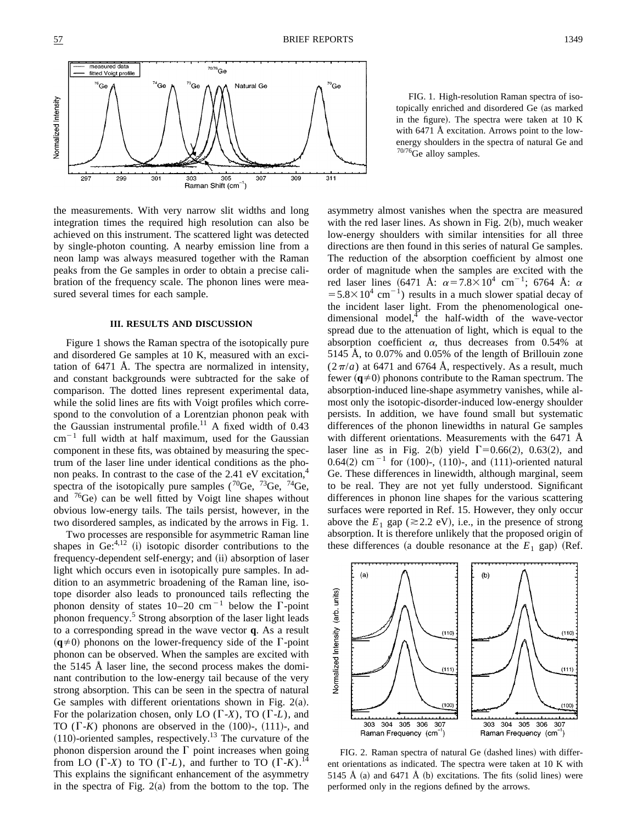

the measurements. With very narrow slit widths and long integration times the required high resolution can also be achieved on this instrument. The scattered light was detected by single-photon counting. A nearby emission line from a neon lamp was always measured together with the Raman peaks from the Ge samples in order to obtain a precise calibration of the frequency scale. The phonon lines were measured several times for each sample.

#### **III. RESULTS AND DISCUSSION**

Figure 1 shows the Raman spectra of the isotopically pure and disordered Ge samples at 10 K, measured with an excitation of 6471 Å. The spectra are normalized in intensity, and constant backgrounds were subtracted for the sake of comparison. The dotted lines represent experimental data, while the solid lines are fits with Voigt profiles which correspond to the convolution of a Lorentzian phonon peak with the Gaussian instrumental profile.<sup>11</sup> A fixed width of  $0.43$  $cm^{-1}$  full width at half maximum, used for the Gaussian component in these fits, was obtained by measuring the spectrum of the laser line under identical conditions as the phonon peaks. In contrast to the case of the  $2.41 \text{ eV}$  excitation,<sup>4</sup> spectra of the isotopically pure samples ( ${}^{70}$ Ge,  ${}^{73}$ Ge,  ${}^{74}$ Ge, and  ${}^{76}$ Ge) can be well fitted by Voigt line shapes without obvious low-energy tails. The tails persist, however, in the two disordered samples, as indicated by the arrows in Fig. 1.

Two processes are responsible for asymmetric Raman line shapes in  $Ge^{4,12}$  (i) isotopic disorder contributions to the frequency-dependent self-energy; and (ii) absorption of laser light which occurs even in isotopically pure samples. In addition to an asymmetric broadening of the Raman line, isotope disorder also leads to pronounced tails reflecting the phonon density of states  $10-20$  cm<sup>-1</sup> below the  $\Gamma$ -point phonon frequency.<sup>5</sup> Strong absorption of the laser light leads to a corresponding spread in the wave vector **q**. As a result  $({\bf q}\neq 0)$  phonons on the lower-frequency side of the  $\Gamma$ -point phonon can be observed. When the samples are excited with the 5145 Å laser line, the second process makes the dominant contribution to the low-energy tail because of the very strong absorption. This can be seen in the spectra of natural Ge samples with different orientations shown in Fig.  $2(a)$ . For the polarization chosen, only LO  $(\Gamma X)$ , TO  $(\Gamma L)$ , and TO  $(\Gamma-K)$  phonons are observed in the  $(100)$ -,  $(111)$ -, and  $(110)$ -oriented samples, respectively.<sup>13</sup> The curvature of the phonon dispersion around the  $\Gamma$  point increases when going from LO  $(\Gamma \text{-} X)$  to TO  $(\Gamma \text{-} L)$ , and further to TO  $(\Gamma \text{-} K)$ .<sup>14</sup> This explains the significant enhancement of the asymmetry in the spectra of Fig.  $2(a)$  from the bottom to the top. The

FIG. 1. High-resolution Raman spectra of isotopically enriched and disordered Ge (as marked in the figure). The spectra were taken at  $10$  K with 6471 Å excitation. Arrows point to the lowenergy shoulders in the spectra of natural Ge and 70/76Ge alloy samples.

asymmetry almost vanishes when the spectra are measured with the red laser lines. As shown in Fig.  $2(b)$ , much weaker low-energy shoulders with similar intensities for all three directions are then found in this series of natural Ge samples. The reduction of the absorption coefficient by almost one order of magnitude when the samples are excited with the red laser lines (6471 Å:  $\alpha = 7.8 \times 10^4$  cm<sup>-1</sup>; 6764 Å:  $\alpha$  $=5.8\times10^{4}$  cm<sup>-1</sup>) results in a much slower spatial decay of the incident laser light. From the phenomenological onedimensional model, $4$  the half-width of the wave-vector spread due to the attenuation of light, which is equal to the absorption coefficient  $\alpha$ , thus decreases from 0.54% at 5145 Å, to 0.07% and 0.05% of the length of Brillouin zone  $(2\pi/a)$  at 6471 and 6764 Å, respectively. As a result, much fewer  $({\bf q}\neq 0)$  phonons contribute to the Raman spectrum. The absorption-induced line-shape asymmetry vanishes, while almost only the isotopic-disorder-induced low-energy shoulder persists. In addition, we have found small but systematic differences of the phonon linewidths in natural Ge samples with different orientations. Measurements with the 6471 Å laser line as in Fig. 2(b) yield  $\Gamma$ =0.66(2), 0.63(2), and  $0.64(2)$  cm<sup>-1</sup> for  $(100)$ -,  $(110)$ -, and  $(111)$ -oriented natural Ge. These differences in linewidth, although marginal, seem to be real. They are not yet fully understood. Significant differences in phonon line shapes for the various scattering surfaces were reported in Ref. 15. However, they only occur above the  $E_1$  gap ( $\approx$  2.2 eV), i.e., in the presence of strong absorption. It is therefore unlikely that the proposed origin of these differences (a double resonance at the  $E_1$  gap) (Ref.



FIG. 2. Raman spectra of natural Ge (dashed lines) with different orientations as indicated. The spectra were taken at 10 K with 5145 Å  $(a)$  and 6471 Å  $(b)$  excitations. The fits  $(solid lines)$  were performed only in the regions defined by the arrows.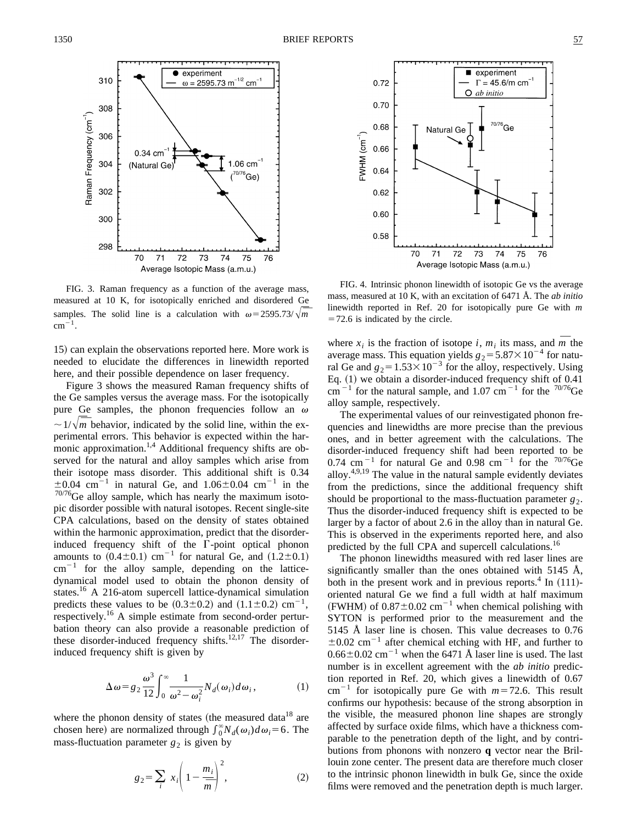

FIG. 3. Raman frequency as a function of the average mass, measured at 10 K, for isotopically enriched and disordered Ge samples. The solid line is a calculation with  $\omega = 2595.73/\sqrt{m}$  $cm^{-1}$ .

15) can explain the observations reported here. More work is needed to elucidate the differences in linewidth reported here, and their possible dependence on laser frequency.

Figure 3 shows the measured Raman frequency shifts of the Ge samples versus the average mass. For the isotopically pure Ge samples, the phonon frequencies follow an  $\omega$  $\sim 1/\sqrt{m}$  behavior, indicated by the solid line, within the experimental errors. This behavior is expected within the harmonic approximation.<sup>1,4</sup> Additional frequency shifts are observed for the natural and alloy samples which arise from their isotope mass disorder. This additional shift is 0.34  $\pm 0.04$  cm<sup>-1</sup> in natural Ge, and 1.06 $\pm 0.04$  cm<sup>-1</sup> in the  $70/76$ Ge alloy sample, which has nearly the maximum isotopic disorder possible with natural isotopes. Recent single-site CPA calculations, based on the density of states obtained within the harmonic approximation, predict that the disorderinduced frequency shift of the  $\Gamma$ -point optical phonon amounts to  $(0.4\pm0.1)$  cm<sup>-1</sup> for natural Ge, and  $(1.2\pm0.1)$  $cm^{-1}$  for the alloy sample, depending on the latticedynamical model used to obtain the phonon density of states.16 A 216-atom supercell lattice-dynamical simulation predicts these values to be  $(0.3\pm0.2)$  and  $(1.1\pm0.2)$  cm<sup>-1</sup>, respectively.<sup>16</sup> A simple estimate from second-order perturbation theory can also provide a reasonable prediction of these disorder-induced frequency shifts.<sup>12,17</sup> The disorderinduced frequency shift is given by

$$
\Delta \omega = g_2 \frac{\omega^3}{12} \int_0^\infty \frac{1}{\omega^2 - \omega_i^2} N_d(\omega_i) d\omega_i, \tag{1}
$$

where the phonon density of states (the measured data<sup>18</sup> are chosen here) are normalized through  $\int_0^\infty N_d(\omega_i) d\omega_i = 6$ . The mass-fluctuation parameter  $g_2$  is given by

$$
g_2 = \sum_i x_i \left( 1 - \frac{m_i}{\overline{m}} \right)^2, \tag{2}
$$



FIG. 4. Intrinsic phonon linewidth of isotopic Ge vs the average mass, measured at 10 K, with an excitation of 6471 Å. The *ab initio* linewidth reported in Ref. 20 for isotopically pure Ge with *m*  $=72.6$  is indicated by the circle.

where  $x_i$  is the fraction of isotope *i*,  $m_i$  its mass, and  $\overline{m}$  the average mass. This equation yields  $g_2 = 5.87 \times 10^{-4}$  for natural Ge and  $g_2 = 1.53 \times 10^{-3}$  for the alloy, respectively. Using Eq.  $(1)$  we obtain a disorder-induced frequency shift of 0.41 cm<sup> $-1$ </sup> for the natural sample, and 1.07 cm<sup> $-1$ </sup> for the <sup>70/76</sup>Ge alloy sample, respectively.

The experimental values of our reinvestigated phonon frequencies and linewidths are more precise than the previous ones, and in better agreement with the calculations. The disorder-induced frequency shift had been reported to be 0.74 cm<sup> $-1$ </sup> for natural Ge and 0.98 cm<sup> $-1$ </sup> for the <sup>70/76</sup>Ge alloy.<sup>4,9,19</sup> The value in the natural sample evidently deviates from the predictions, since the additional frequency shift should be proportional to the mass-fluctuation parameter  $g_2$ . Thus the disorder-induced frequency shift is expected to be larger by a factor of about 2.6 in the alloy than in natural Ge. This is observed in the experiments reported here, and also predicted by the full CPA and supercell calculations.<sup>10</sup>

The phonon linewidths measured with red laser lines are significantly smaller than the ones obtained with 5145 Å, both in the present work and in previous reports. $4 \text{ In } (111)$ oriented natural Ge we find a full width at half maximum (FWHM) of  $0.87 \pm 0.02$  cm<sup>-1</sup> when chemical polishing with SYTON is performed prior to the measurement and the 5145 Å laser line is chosen. This value decreases to 0.76  $\pm 0.02$  cm<sup>-1</sup> after chemical etching with HF, and further to  $0.66\pm0.02$  cm<sup>-1</sup> when the 6471 Å laser line is used. The last number is in excellent agreement with the *ab initio* prediction reported in Ref. 20, which gives a linewidth of 0.67  $cm^{-1}$  for isotopically pure Ge with  $m=72.6$ . This result confirms our hypothesis: because of the strong absorption in the visible, the measured phonon line shapes are strongly affected by surface oxide films, which have a thickness comparable to the penetration depth of the light, and by contributions from phonons with nonzero **q** vector near the Brillouin zone center. The present data are therefore much closer to the intrinsic phonon linewidth in bulk Ge, since the oxide films were removed and the penetration depth is much larger.